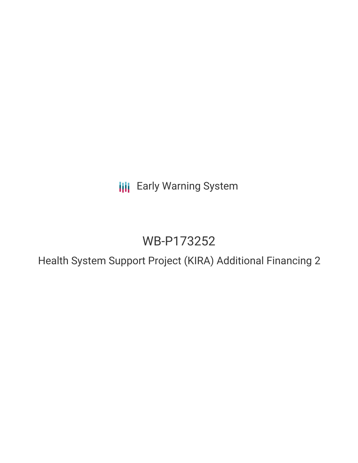**III** Early Warning System

# WB-P173252

Health System Support Project (KIRA) Additional Financing 2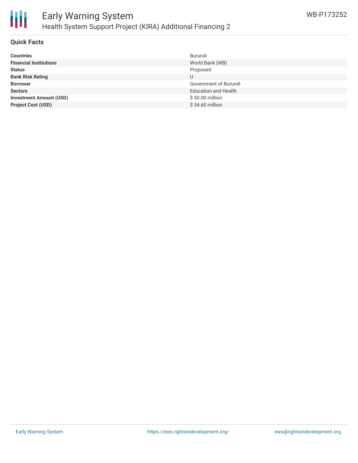

### **Quick Facts**

| <b>Countries</b>               | Burundi                     |
|--------------------------------|-----------------------------|
| <b>Financial Institutions</b>  | World Bank (WB)             |
| <b>Status</b>                  | Proposed                    |
| <b>Bank Risk Rating</b>        | U                           |
| <b>Borrower</b>                | Government of Burundi       |
| <b>Sectors</b>                 | <b>Education and Health</b> |
| <b>Investment Amount (USD)</b> | \$50.00 million             |
| <b>Project Cost (USD)</b>      | \$54.60 million             |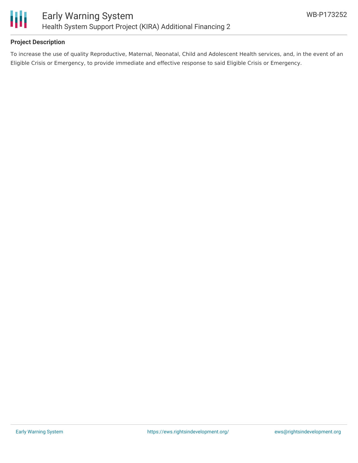

## **Project Description**

To increase the use of quality Reproductive, Maternal, Neonatal, Child and Adolescent Health services, and, in the event of an Eligible Crisis or Emergency, to provide immediate and effective response to said Eligible Crisis or Emergency.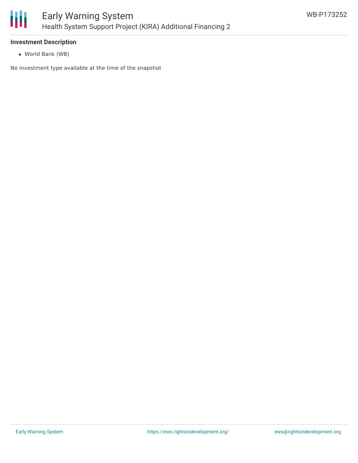

#### **Investment Description**

World Bank (WB)

No investment type available at the time of the snapshot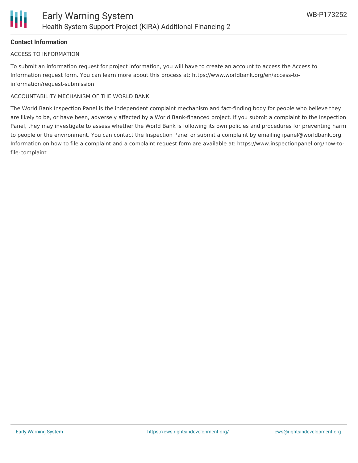

## **Contact Information**

#### ACCESS TO INFORMATION

To submit an information request for project information, you will have to create an account to access the Access to Information request form. You can learn more about this process at: https://www.worldbank.org/en/access-toinformation/request-submission

#### ACCOUNTABILITY MECHANISM OF THE WORLD BANK

The World Bank Inspection Panel is the independent complaint mechanism and fact-finding body for people who believe they are likely to be, or have been, adversely affected by a World Bank-financed project. If you submit a complaint to the Inspection Panel, they may investigate to assess whether the World Bank is following its own policies and procedures for preventing harm to people or the environment. You can contact the Inspection Panel or submit a complaint by emailing ipanel@worldbank.org. Information on how to file a complaint and a complaint request form are available at: https://www.inspectionpanel.org/how-tofile-complaint